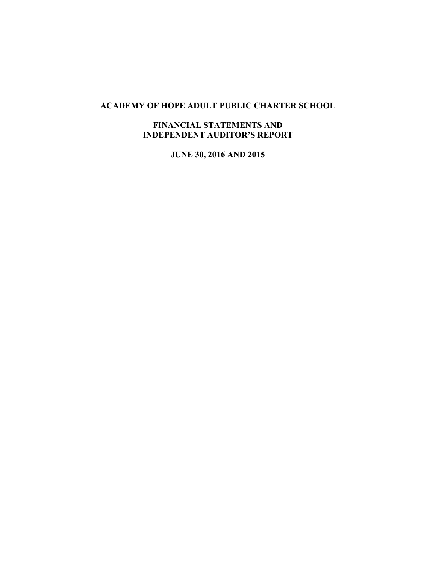# **ACADEMY OF HOPE ADULT PUBLIC CHARTER SCHOOL**

## **FINANCIAL STATEMENTS AND INDEPENDENT AUDITOR'S REPORT**

**JUNE 30, 2016 AND 2015**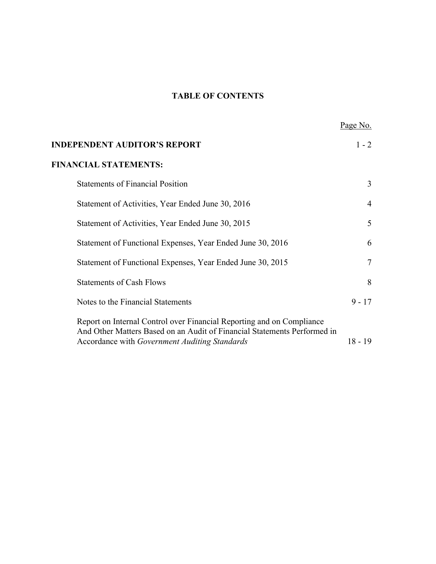# **TABLE OF CONTENTS**

|                                                                                                                                                   | Page No.       |
|---------------------------------------------------------------------------------------------------------------------------------------------------|----------------|
| <b>INDEPENDENT AUDITOR'S REPORT</b>                                                                                                               | $1 - 2$        |
| <b>FINANCIAL STATEMENTS:</b>                                                                                                                      |                |
| <b>Statements of Financial Position</b>                                                                                                           | 3              |
| Statement of Activities, Year Ended June 30, 2016                                                                                                 | $\overline{4}$ |
| Statement of Activities, Year Ended June 30, 2015                                                                                                 | 5              |
| Statement of Functional Expenses, Year Ended June 30, 2016                                                                                        | 6              |
| Statement of Functional Expenses, Year Ended June 30, 2015                                                                                        | $\tau$         |
| <b>Statements of Cash Flows</b>                                                                                                                   | 8              |
| Notes to the Financial Statements                                                                                                                 | $9 - 17$       |
| Report on Internal Control over Financial Reporting and on Compliance<br>And Other Matters Based on an Audit of Financial Statements Performed in |                |
| Accordance with Government Auditing Standards                                                                                                     | $18 - 19$      |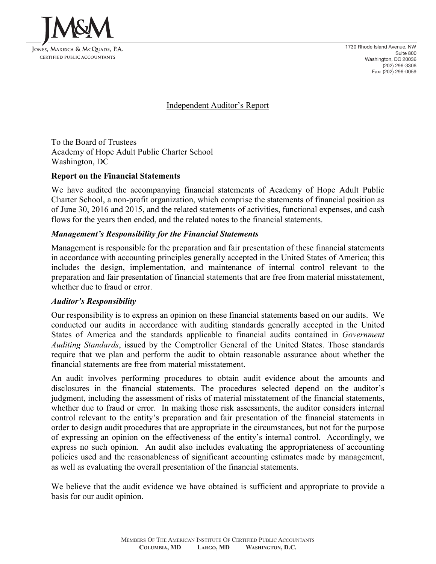

1730 Rhode Island Avenue, NW Suite 800 Washington, DC 20036 (202) 296-3306 Fax: (202) 296-0059

Independent Auditor's Report

To the Board of Trustees Academy of Hope Adult Public Charter School Washington, DC

## **Report on the Financial Statements**

We have audited the accompanying financial statements of Academy of Hope Adult Public Charter School, a non-profit organization, which comprise the statements of financial position as of June 30, 2016 and 2015, and the related statements of activities, functional expenses, and cash flows for the years then ended, and the related notes to the financial statements.

#### *Management's Responsibility for the Financial Statements*

Management is responsible for the preparation and fair presentation of these financial statements in accordance with accounting principles generally accepted in the United States of America; this includes the design, implementation, and maintenance of internal control relevant to the preparation and fair presentation of financial statements that are free from material misstatement, whether due to fraud or error.

#### *Auditor's Responsibility*

Our responsibility is to express an opinion on these financial statements based on our audits. We conducted our audits in accordance with auditing standards generally accepted in the United States of America and the standards applicable to financial audits contained in *Government Auditing Standards*, issued by the Comptroller General of the United States. Those standards require that we plan and perform the audit to obtain reasonable assurance about whether the financial statements are free from material misstatement.

An audit involves performing procedures to obtain audit evidence about the amounts and disclosures in the financial statements. The procedures selected depend on the auditor's judgment, including the assessment of risks of material misstatement of the financial statements, whether due to fraud or error. In making those risk assessments, the auditor considers internal control relevant to the entity's preparation and fair presentation of the financial statements in order to design audit procedures that are appropriate in the circumstances, but not for the purpose of expressing an opinion on the effectiveness of the entity's internal control. Accordingly, we express no such opinion. An audit also includes evaluating the appropriateness of accounting policies used and the reasonableness of significant accounting estimates made by management, as well as evaluating the overall presentation of the financial statements.

We believe that the audit evidence we have obtained is sufficient and appropriate to provide a basis for our audit opinion.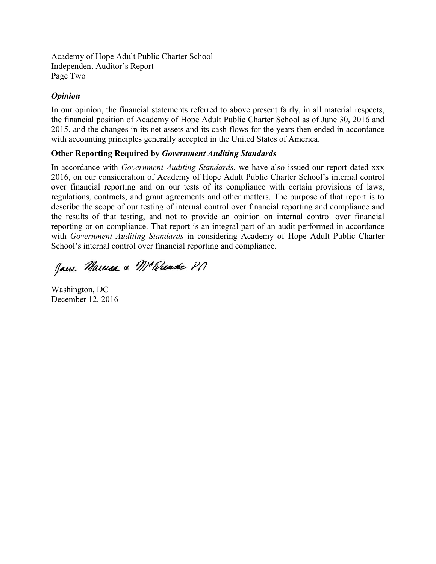Academy of Hope Adult Public Charter School Independent Auditor's Report Page Two

# *Opinion*

In our opinion, the financial statements referred to above present fairly, in all material respects, the financial position of Academy of Hope Adult Public Charter School as of June 30, 2016 and 2015, and the changes in its net assets and its cash flows for the years then ended in accordance with accounting principles generally accepted in the United States of America.

# **Other Reporting Required by** *Government Auditing Standards*

In accordance with *Government Auditing Standards*, we have also issued our report dated xxx 2016, on our consideration of Academy of Hope Adult Public Charter School's internal control over financial reporting and on our tests of its compliance with certain provisions of laws, regulations, contracts, and grant agreements and other matters. The purpose of that report is to describe the scope of our testing of internal control over financial reporting and compliance and the results of that testing, and not to provide an opinion on internal control over financial reporting or on compliance. That report is an integral part of an audit performed in accordance with *Government Auditing Standards* in considering Academy of Hope Adult Public Charter School's internal control over financial reporting and compliance.

Jam Marma & M'amade PA

Washington, DC December 12, 2016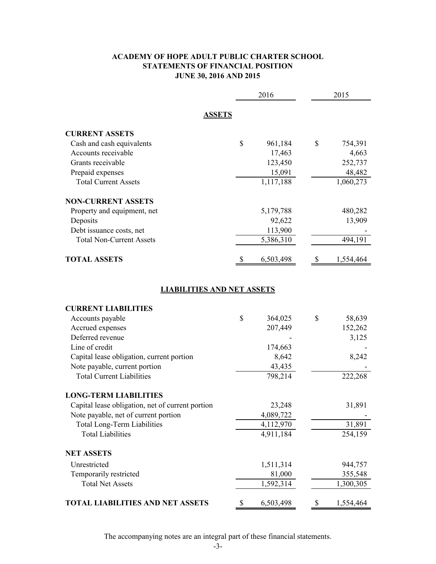## **ACADEMY OF HOPE ADULT PUBLIC CHARTER SCHOOL STATEMENTS OF FINANCIAL POSITION JUNE 30, 2016 AND 2015**

|                                                  | 2016            |    | 2015      |
|--------------------------------------------------|-----------------|----|-----------|
| <b>ASSETS</b>                                    |                 |    |           |
| <b>CURRENT ASSETS</b>                            |                 |    |           |
| Cash and cash equivalents                        | \$<br>961,184   | \$ | 754,391   |
| Accounts receivable                              | 17,463          |    | 4,663     |
| Grants receivable                                | 123,450         |    | 252,737   |
| Prepaid expenses                                 | 15,091          |    | 48,482    |
| <b>Total Current Assets</b>                      | 1,117,188       |    | 1,060,273 |
| <b>NON-CURRENT ASSETS</b>                        |                 |    |           |
| Property and equipment, net                      | 5,179,788       |    | 480,282   |
| Deposits                                         | 92,622          |    | 13,909    |
| Debt issuance costs, net                         | 113,900         |    |           |
| <b>Total Non-Current Assets</b>                  | 5,386,310       |    | 494,191   |
| <b>TOTAL ASSETS</b>                              | \$<br>6,503,498 | \$ | 1,554,464 |
|                                                  |                 |    |           |
| <b>LIABILITIES AND NET ASSETS</b>                |                 |    |           |
| <b>CURRENT LIABILITIES</b>                       |                 |    |           |
| Accounts payable                                 | \$<br>364,025   | \$ | 58,639    |
| Accrued expenses                                 | 207,449         |    | 152,262   |
| Deferred revenue                                 |                 |    | 3,125     |
| Line of credit                                   | 174,663         |    |           |
| Capital lease obligation, current portion        | 8,642           |    | 8,242     |
| Note payable, current portion                    | 43,435          |    |           |
| <b>Total Current Liabilities</b>                 | 798,214         |    | 222,268   |
| <b>LONG-TERM LIABILITIES</b>                     |                 |    |           |
| Capital lease obligation, net of current portion | 23,248          |    | 31,891    |
| Note payable, net of current portion             | 4,089,722       |    |           |
| <b>Total Long-Term Liabilities</b>               | 4,112,970       |    | 31,891    |
| <b>Total Liabilities</b>                         | 4,911,184       |    | 254,159   |
| <b>NET ASSETS</b>                                |                 |    |           |
| Unrestricted                                     | 1,511,314       |    | 944,757   |
| Temporarily restricted                           | 81,000          |    | 355,548   |
| <b>Total Net Assets</b>                          | 1,592,314       |    | 1,300,305 |
| <b>TOTAL LIABILITIES AND NET ASSETS</b>          | \$<br>6,503,498 | \$ | 1,554,464 |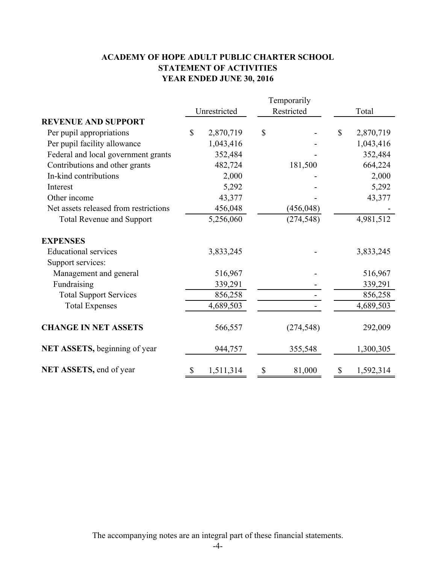# **ACADEMY OF HOPE ADULT PUBLIC CHARTER SCHOOL STATEMENT OF ACTIVITIES YEAR ENDED JUNE 30, 2016**

|                                       | Temporarily |              |              |            |              |           |
|---------------------------------------|-------------|--------------|--------------|------------|--------------|-----------|
|                                       |             | Unrestricted | Restricted   |            |              | Total     |
| <b>REVENUE AND SUPPORT</b>            |             |              |              |            |              |           |
| Per pupil appropriations              | $\mathbf S$ | 2,870,719    | $\mathbb{S}$ |            | $\mathbb{S}$ | 2,870,719 |
| Per pupil facility allowance          |             | 1,043,416    |              |            |              | 1,043,416 |
| Federal and local government grants   |             | 352,484      |              |            |              | 352,484   |
| Contributions and other grants        |             | 482,724      |              | 181,500    |              | 664,224   |
| In-kind contributions                 |             | 2,000        |              |            |              | 2,000     |
| Interest                              |             | 5,292        |              |            |              | 5,292     |
| Other income                          |             | 43,377       |              |            |              | 43,377    |
| Net assets released from restrictions |             | 456,048      |              | (456, 048) |              |           |
| <b>Total Revenue and Support</b>      |             | 5,256,060    |              | (274, 548) |              | 4,981,512 |
| <b>EXPENSES</b>                       |             |              |              |            |              |           |
| <b>Educational services</b>           |             | 3,833,245    |              |            |              | 3,833,245 |
| Support services:                     |             |              |              |            |              |           |
| Management and general                |             | 516,967      |              |            |              | 516,967   |
| Fundraising                           |             | 339,291      |              |            |              | 339,291   |
| <b>Total Support Services</b>         |             | 856,258      |              |            |              | 856,258   |
| <b>Total Expenses</b>                 |             | 4,689,503    |              |            |              | 4,689,503 |
| <b>CHANGE IN NET ASSETS</b>           |             | 566,557      |              | (274, 548) |              | 292,009   |
| NET ASSETS, beginning of year         |             | 944,757      |              | 355,548    |              | 1,300,305 |
| NET ASSETS, end of year               | \$          | 1,511,314    | \$           | 81,000     | \$           | 1,592,314 |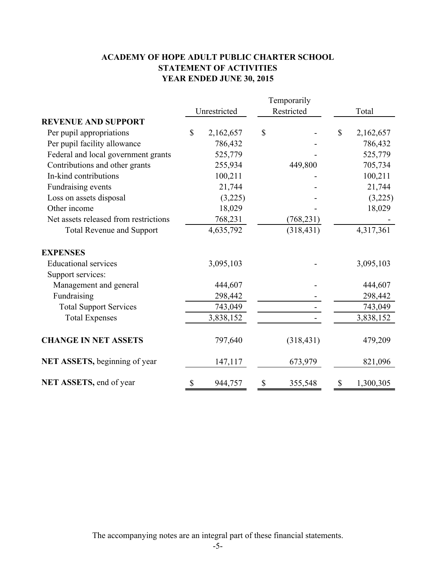# **ACADEMY OF HOPE ADULT PUBLIC CHARTER SCHOOL STATEMENT OF ACTIVITIES YEAR ENDED JUNE 30, 2015**

|                                       | Temporarily  |           |               |              |           |
|---------------------------------------|--------------|-----------|---------------|--------------|-----------|
|                                       | Unrestricted |           | Restricted    |              | Total     |
| <b>REVENUE AND SUPPORT</b>            |              |           |               |              |           |
| Per pupil appropriations              | \$           | 2,162,657 | \$            | $\mathbb{S}$ | 2,162,657 |
| Per pupil facility allowance          |              | 786,432   |               |              | 786,432   |
| Federal and local government grants   |              | 525,779   |               |              | 525,779   |
| Contributions and other grants        |              | 255,934   | 449,800       |              | 705,734   |
| In-kind contributions                 |              | 100,211   |               |              | 100,211   |
| Fundraising events                    |              | 21,744    |               |              | 21,744    |
| Loss on assets disposal               |              | (3,225)   |               |              | (3,225)   |
| Other income                          |              | 18,029    |               |              | 18,029    |
| Net assets released from restrictions |              | 768,231   | (768, 231)    |              |           |
| <b>Total Revenue and Support</b>      |              | 4,635,792 | (318, 431)    |              | 4,317,361 |
| <b>EXPENSES</b>                       |              |           |               |              |           |
| <b>Educational services</b>           |              | 3,095,103 |               |              | 3,095,103 |
| Support services:                     |              |           |               |              |           |
| Management and general                |              | 444,607   |               |              | 444,607   |
| Fundraising                           |              | 298,442   |               |              | 298,442   |
| <b>Total Support Services</b>         |              | 743,049   |               |              | 743,049   |
| <b>Total Expenses</b>                 |              | 3,838,152 |               |              | 3,838,152 |
| <b>CHANGE IN NET ASSETS</b>           |              | 797,640   | (318, 431)    |              | 479,209   |
| NET ASSETS, beginning of year         |              | 147,117   | 673,979       |              | 821,096   |
| NET ASSETS, end of year               | \$           | 944,757   | \$<br>355,548 | \$           | 1,300,305 |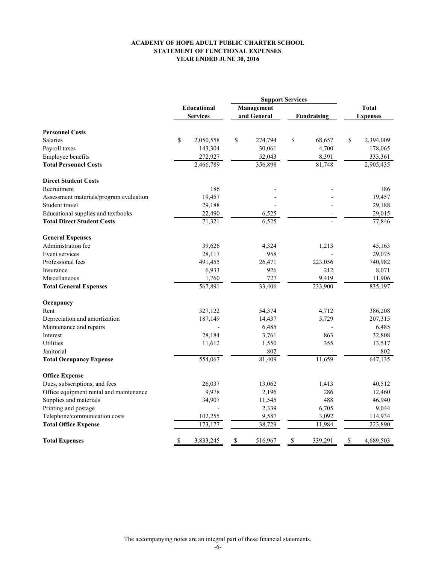#### **ACADEMY OF HOPE ADULT PUBLIC CHARTER SCHOOL STATEMENT OF FUNCTIONAL EXPENSES YEAR ENDED JUNE 30, 2016**

|                                         |                                |           |            | <b>Support Services</b>           |    |         |                 |              |
|-----------------------------------------|--------------------------------|-----------|------------|-----------------------------------|----|---------|-----------------|--------------|
|                                         | Educational<br><b>Services</b> |           | Management |                                   |    |         |                 | <b>Total</b> |
|                                         |                                |           |            | and General<br><b>Fundraising</b> |    |         | <b>Expenses</b> |              |
| <b>Personnel Costs</b>                  |                                |           |            |                                   |    |         |                 |              |
| <b>Salaries</b>                         | \$                             | 2,050,558 | \$         | 274,794                           | \$ | 68,657  | \$              | 2,394,009    |
| Payroll taxes                           |                                | 143,304   |            | 30,061                            |    | 4,700   |                 | 178,065      |
| Employee benefits                       |                                | 272,927   |            | 52,043                            |    | 8,391   |                 | 333,361      |
| <b>Total Personnel Costs</b>            |                                | 2,466,789 |            | 356,898                           |    | 81,748  |                 | 2,905,435    |
| <b>Direct Student Costs</b>             |                                |           |            |                                   |    |         |                 |              |
| Recruitment                             |                                | 186       |            |                                   |    |         |                 | 186          |
| Assessment materials/program evaluation |                                | 19,457    |            |                                   |    |         |                 | 19,457       |
| Student travel                          |                                | 29,188    |            |                                   |    |         |                 | 29,188       |
| Educational supplies and textbooks      |                                | 22,490    |            | 6,525                             |    |         |                 | 29,015       |
| <b>Total Direct Student Costs</b>       |                                | 71,321    |            | 6,525                             |    |         |                 | 77,846       |
| <b>General Expenses</b>                 |                                |           |            |                                   |    |         |                 |              |
| Administration fee                      |                                | 39,626    |            | 4,324                             |    | 1,213   |                 | 45,163       |
| Event services                          |                                | 28,117    |            | 958                               |    |         |                 | 29,075       |
| Professional fees                       |                                | 491,455   |            | 26,471                            |    | 223,056 |                 | 740,982      |
| Insurance                               |                                | 6,933     |            | 926                               |    | 212     |                 | 8,071        |
| Miscellaneous                           |                                | 1,760     |            | 727                               |    | 9,419   |                 | 11,906       |
| <b>Total General Expenses</b>           |                                | 567,891   |            | 33,406                            |    | 233,900 |                 | 835,197      |
| Occupancy                               |                                |           |            |                                   |    |         |                 |              |
| Rent                                    |                                | 327,122   |            | 54,374                            |    | 4,712   |                 | 386,208      |
| Depreciation and amortization           |                                | 187,149   |            | 14,437                            |    | 5,729   |                 | 207,315      |
| Maintenance and repairs                 |                                |           |            | 6,485                             |    |         |                 | 6,485        |
| Interest                                |                                | 28,184    |            | 3,761                             |    | 863     |                 | 32,808       |
| Utilities                               |                                | 11,612    |            | 1,550                             |    | 355     |                 | 13,517       |
| Janitorial                              |                                |           |            | 802                               |    |         |                 | 802          |
| <b>Total Occupancy Expense</b>          |                                | 554,067   |            | 81,409                            |    | 11,659  |                 | 647,135      |
| <b>Office Expense</b>                   |                                |           |            |                                   |    |         |                 |              |
| Dues, subscriptions, and fees           |                                | 26,037    |            | 13,062                            |    | 1,413   |                 | 40,512       |
| Office equipment rental and maintenance |                                | 9,978     |            | 2,196                             |    | 286     |                 | 12,460       |
| Supplies and materials                  |                                | 34,907    |            | 11,545                            |    | 488     |                 | 46,940       |
| Printing and postage                    |                                |           |            | 2,339                             |    | 6,705   |                 | 9,044        |
| Telephone/communication costs           |                                | 102,255   |            | 9,587                             |    | 3,092   |                 | 114,934      |
| <b>Total Office Expense</b>             |                                | 173,177   |            | 38,729                            |    | 11,984  |                 | 223,890      |
| <b>Total Expenses</b>                   | \$                             | 3,833,245 | \$         | 516,967                           | \$ | 339,291 | \$              | 4,689,503    |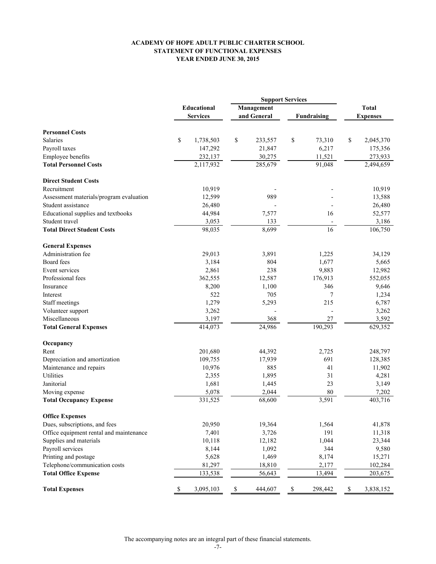#### **ACADEMY OF HOPE ADULT PUBLIC CHARTER SCHOOL STATEMENT OF FUNCTIONAL EXPENSES YEAR ENDED JUNE 30, 2015**

|                                         | <b>Support Services</b> |             |             |             |                    |                          |                 |           |
|-----------------------------------------|-------------------------|-------------|-------------|-------------|--------------------|--------------------------|-----------------|-----------|
|                                         |                         | Educational | Management  |             |                    |                          | <b>Total</b>    |           |
|                                         | <b>Services</b>         |             |             | and General | <b>Fundraising</b> |                          | <b>Expenses</b> |           |
| <b>Personnel Costs</b>                  |                         |             |             |             |                    |                          |                 |           |
| <b>Salaries</b>                         |                         |             |             |             |                    |                          |                 |           |
|                                         | \$                      | 1,738,503   | \$          | 233,557     | \$                 | 73,310                   | \$              | 2,045,370 |
| Payroll taxes                           |                         | 147,292     |             | 21,847      |                    | 6,217                    |                 | 175,356   |
| Employee benefits                       |                         | 232,137     |             | 30,275      |                    | 11,521                   |                 | 273,933   |
| <b>Total Personnel Costs</b>            |                         | 2,117,932   |             | 285,679     |                    | 91,048                   |                 | 2,494,659 |
| <b>Direct Student Costs</b>             |                         |             |             |             |                    |                          |                 |           |
| Recruitment                             |                         | 10,919      |             |             |                    |                          |                 | 10,919    |
| Assessment materials/program evaluation |                         | 12,599      |             | 989         |                    |                          |                 | 13,588    |
| Student assistance                      |                         | 26,480      |             |             |                    |                          |                 | 26,480    |
| Educational supplies and textbooks      |                         | 44,984      |             | 7,577       |                    | 16                       |                 | 52,577    |
| Student travel                          |                         | 3,053       |             | 133         |                    |                          |                 | 3,186     |
| <b>Total Direct Student Costs</b>       |                         | 98,035      |             | 8,699       |                    | 16                       |                 | 106,750   |
| <b>General Expenses</b>                 |                         |             |             |             |                    |                          |                 |           |
| Administration fee                      |                         | 29,013      |             | 3,891       |                    | 1,225                    |                 | 34,129    |
| Board fees                              |                         | 3,184       |             | 804         |                    | 1,677                    |                 | 5,665     |
| Event services                          |                         | 2,861       |             | 238         |                    | 9,883                    |                 | 12,982    |
| Professional fees                       |                         | 362,555     |             | 12,587      |                    | 176,913                  |                 | 552,055   |
| Insurance                               |                         | 8,200       |             | 1,100       |                    | 346                      |                 | 9,646     |
| Interest                                |                         | 522         |             | 705         |                    | 7                        |                 | 1,234     |
| Staff meetings                          |                         | 1,279       |             | 5,293       |                    | 215                      |                 | 6,787     |
| Volunteer support                       |                         | 3,262       |             |             |                    | $\overline{\phantom{a}}$ |                 | 3,262     |
| Miscellaneous                           |                         | 3,197       |             | 368         |                    | 27                       |                 | 3,592     |
| <b>Total General Expenses</b>           |                         | 414,073     |             | 24,986      |                    | 190,293                  |                 | 629,352   |
|                                         |                         |             |             |             |                    |                          |                 |           |
| Occupancy                               |                         |             |             |             |                    |                          |                 |           |
| Rent                                    |                         | 201,680     |             | 44,392      |                    | 2,725                    |                 | 248,797   |
| Depreciation and amortization           |                         | 109,755     |             | 17,939      |                    | 691                      |                 | 128,385   |
| Maintenance and repairs                 |                         | 10,976      |             | 885         |                    | 41                       |                 | 11,902    |
| Utilities                               |                         | 2,355       |             | 1,895       |                    | 31                       |                 | 4,281     |
| Janitorial                              |                         | 1,681       |             | 1,445       |                    | 23                       |                 | 3,149     |
| Moving expense                          |                         | 5,078       |             | 2,044       |                    | 80                       |                 | 7,202     |
| <b>Total Occupancy Expense</b>          |                         | 331,525     |             | 68,600      |                    | 3,591                    |                 | 403,716   |
| <b>Office Expenses</b>                  |                         |             |             |             |                    |                          |                 |           |
| Dues, subscriptions, and fees           |                         | 20,950      |             | 19,364      |                    | 1,564                    |                 | 41,878    |
| Office equipment rental and maintenance |                         | 7,401       |             | 3,726       |                    | 191                      |                 | 11,318    |
| Supplies and materials                  |                         | 10,118      |             | 12,182      |                    | 1,044                    |                 | 23,344    |
| Payroll services                        |                         | 8,144       |             | 1,092       |                    | 344                      |                 | 9,580     |
| Printing and postage                    |                         | 5,628       |             | 1,469       |                    | 8,174                    |                 | 15,271    |
| Telephone/communication costs           |                         | 81,297      |             | 18,810      |                    | 2,177                    |                 | 102,284   |
| <b>Total Office Expense</b>             |                         | 133,538     |             | 56,643      |                    | 13,494                   |                 | 203,675   |
| <b>Total Expenses</b>                   | $\mathbb S$             | 3,095,103   | $\mathbb S$ | 444,607     | $\mathbb S$        | 298,442                  | \$              | 3,838,152 |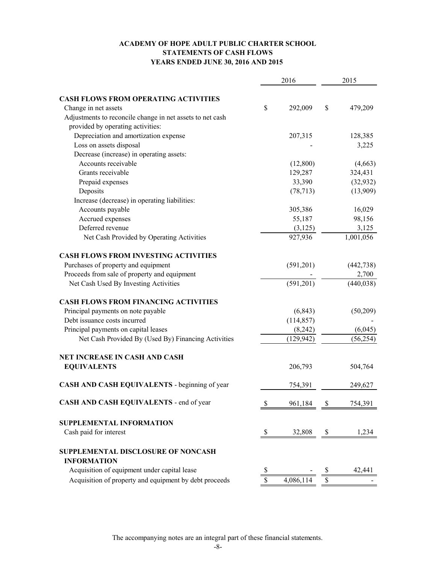#### **ACADEMY OF HOPE ADULT PUBLIC CHARTER SCHOOL STATEMENTS OF CASH FLOWS YEARS ENDED JUNE 30, 2016 AND 2015**

|                                                           |    | 2016       | 2015 |            |
|-----------------------------------------------------------|----|------------|------|------------|
| <b>CASH FLOWS FROM OPERATING ACTIVITIES</b>               |    |            |      |            |
| Change in net assets                                      | \$ | 292,009    | \$   | 479,209    |
| Adjustments to reconcile change in net assets to net cash |    |            |      |            |
| provided by operating activities:                         |    |            |      |            |
| Depreciation and amortization expense                     |    | 207,315    |      | 128,385    |
| Loss on assets disposal                                   |    |            |      | 3,225      |
| Decrease (increase) in operating assets:                  |    |            |      |            |
| Accounts receivable                                       |    | (12,800)   |      | (4,663)    |
| Grants receivable                                         |    | 129,287    |      | 324,431    |
| Prepaid expenses                                          |    | 33,390     |      | (32, 932)  |
| Deposits                                                  |    | (78, 713)  |      | (13,909)   |
| Increase (decrease) in operating liabilities:             |    |            |      |            |
| Accounts payable                                          |    | 305,386    |      | 16,029     |
| Accrued expenses                                          |    | 55,187     |      | 98,156     |
| Deferred revenue                                          |    | (3,125)    |      | 3,125      |
| Net Cash Provided by Operating Activities                 |    | 927,936    |      | 1,001,056  |
| <b>CASH FLOWS FROM INVESTING ACTIVITIES</b>               |    |            |      |            |
| Purchases of property and equipment                       |    | (591,201)  |      | (442, 738) |
| Proceeds from sale of property and equipment              |    |            |      | 2,700      |
| Net Cash Used By Investing Activities                     |    | (591,201)  |      | (440, 038) |
| <b>CASH FLOWS FROM FINANCING ACTIVITIES</b>               |    |            |      |            |
| Principal payments on note payable                        |    | (6, 843)   |      | (50,209)   |
| Debt issuance costs incurred                              |    | (114, 857) |      |            |
| Principal payments on capital leases                      |    | (8,242)    |      | (6,045)    |
| Net Cash Provided By (Used By) Financing Activities       |    | (129, 942) |      | (56, 254)  |
| NET INCREASE IN CASH AND CASH                             |    |            |      |            |
| <b>EQUIVALENTS</b>                                        |    | 206,793    |      | 504,764    |
| CASH AND CASH EQUIVALENTS - beginning of year             |    | 754,391    |      | 249,627    |
| CASH AND CASH EQUIVALENTS - end of year                   |    | 961,184    | \$   | 754,391    |
| SUPPLEMENTAL INFORMATION                                  |    |            |      |            |
| Cash paid for interest                                    | S. | 32,808     |      | 1,234      |
| SUPPLEMENTAL DISCLOSURE OF NONCASH                        |    |            |      |            |
| <b>INFORMATION</b>                                        |    |            |      |            |
| Acquisition of equipment under capital lease              | S  |            |      | 42,441     |
| Acquisition of property and equipment by debt proceeds    | \$ | 4,086,114  |      |            |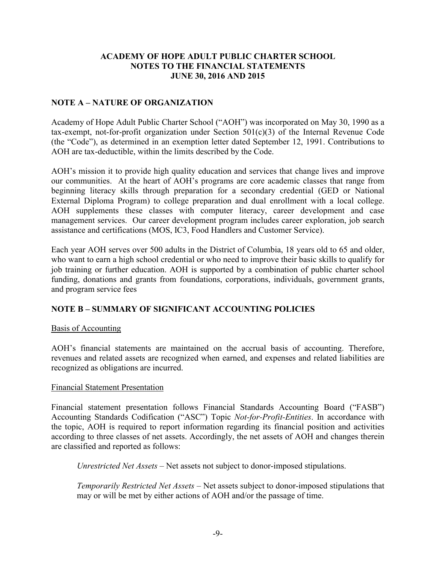## **NOTE A – NATURE OF ORGANIZATION**

Academy of Hope Adult Public Charter School ("AOH") was incorporated on May 30, 1990 as a tax-exempt, not-for-profit organization under Section 501(c)(3) of the Internal Revenue Code (the "Code"), as determined in an exemption letter dated September 12, 1991. Contributions to AOH are tax-deductible, within the limits described by the Code.

AOH's mission it to provide high quality education and services that change lives and improve our communities. At the heart of AOH's programs are core academic classes that range from beginning literacy skills through preparation for a secondary credential (GED or National External Diploma Program) to college preparation and dual enrollment with a local college. AOH supplements these classes with computer literacy, career development and case management services. Our career development program includes career exploration, job search assistance and certifications (MOS, IC3, Food Handlers and Customer Service).

Each year AOH serves over 500 adults in the District of Columbia, 18 years old to 65 and older, who want to earn a high school credential or who need to improve their basic skills to qualify for job training or further education. AOH is supported by a combination of public charter school funding, donations and grants from foundations, corporations, individuals, government grants, and program service fees

## **NOTE B – SUMMARY OF SIGNIFICANT ACCOUNTING POLICIES**

## Basis of Accounting

AOH's financial statements are maintained on the accrual basis of accounting. Therefore, revenues and related assets are recognized when earned, and expenses and related liabilities are recognized as obligations are incurred.

## Financial Statement Presentation

Financial statement presentation follows Financial Standards Accounting Board ("FASB") Accounting Standards Codification ("ASC") Topic *Not-for-Profit-Entities*. In accordance with the topic, AOH is required to report information regarding its financial position and activities according to three classes of net assets. Accordingly, the net assets of AOH and changes therein are classified and reported as follows:

*Unrestricted Net Assets* – Net assets not subject to donor-imposed stipulations.

*Temporarily Restricted Net Assets* – Net assets subject to donor-imposed stipulations that may or will be met by either actions of AOH and/or the passage of time.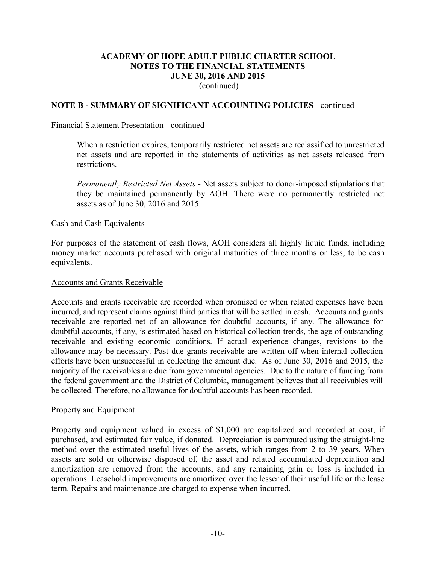## **NOTE B - SUMMARY OF SIGNIFICANT ACCOUNTING POLICIES** - continued

#### Financial Statement Presentation - continued

When a restriction expires, temporarily restricted net assets are reclassified to unrestricted net assets and are reported in the statements of activities as net assets released from restrictions.

*Permanently Restricted Net Assets* - Net assets subject to donor-imposed stipulations that they be maintained permanently by AOH. There were no permanently restricted net assets as of June 30, 2016 and 2015.

#### Cash and Cash Equivalents

For purposes of the statement of cash flows, AOH considers all highly liquid funds, including money market accounts purchased with original maturities of three months or less, to be cash equivalents.

#### Accounts and Grants Receivable

Accounts and grants receivable are recorded when promised or when related expenses have been incurred, and represent claims against third parties that will be settled in cash. Accounts and grants receivable are reported net of an allowance for doubtful accounts, if any. The allowance for doubtful accounts, if any, is estimated based on historical collection trends, the age of outstanding receivable and existing economic conditions. If actual experience changes, revisions to the allowance may be necessary. Past due grants receivable are written off when internal collection efforts have been unsuccessful in collecting the amount due. As of June 30, 2016 and 2015, the majority of the receivables are due from governmental agencies. Due to the nature of funding from the federal government and the District of Columbia, management believes that all receivables will be collected. Therefore, no allowance for doubtful accounts has been recorded.

#### Property and Equipment

Property and equipment valued in excess of \$1,000 are capitalized and recorded at cost, if purchased, and estimated fair value, if donated. Depreciation is computed using the straight-line method over the estimated useful lives of the assets, which ranges from 2 to 39 years. When assets are sold or otherwise disposed of, the asset and related accumulated depreciation and amortization are removed from the accounts, and any remaining gain or loss is included in operations. Leasehold improvements are amortized over the lesser of their useful life or the lease term. Repairs and maintenance are charged to expense when incurred.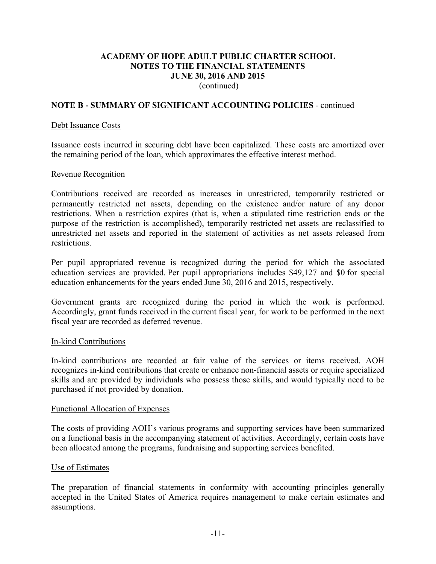## **NOTE B - SUMMARY OF SIGNIFICANT ACCOUNTING POLICIES** - continued

#### Debt Issuance Costs

Issuance costs incurred in securing debt have been capitalized. These costs are amortized over the remaining period of the loan, which approximates the effective interest method.

#### Revenue Recognition

Contributions received are recorded as increases in unrestricted, temporarily restricted or permanently restricted net assets, depending on the existence and/or nature of any donor restrictions. When a restriction expires (that is, when a stipulated time restriction ends or the purpose of the restriction is accomplished), temporarily restricted net assets are reclassified to unrestricted net assets and reported in the statement of activities as net assets released from restrictions.

Per pupil appropriated revenue is recognized during the period for which the associated education services are provided. Per pupil appropriations includes \$49,127 and \$0 for special education enhancements for the years ended June 30, 2016 and 2015, respectively.

Government grants are recognized during the period in which the work is performed. Accordingly, grant funds received in the current fiscal year, for work to be performed in the next fiscal year are recorded as deferred revenue.

#### In-kind Contributions

In-kind contributions are recorded at fair value of the services or items received. AOH recognizes in-kind contributions that create or enhance non-financial assets or require specialized skills and are provided by individuals who possess those skills, and would typically need to be purchased if not provided by donation.

#### Functional Allocation of Expenses

The costs of providing AOH's various programs and supporting services have been summarized on a functional basis in the accompanying statement of activities. Accordingly, certain costs have been allocated among the programs, fundraising and supporting services benefited.

#### Use of Estimates

The preparation of financial statements in conformity with accounting principles generally accepted in the United States of America requires management to make certain estimates and assumptions.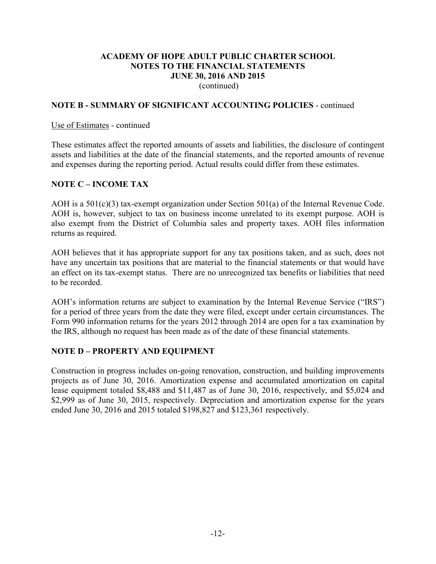## **NOTE B - SUMMARY OF SIGNIFICANT ACCOUNTING POLICIES** - continued

#### Use of Estimates - continued

These estimates affect the reported amounts of assets and liabilities, the disclosure of contingent assets and liabilities at the date of the financial statements, and the reported amounts of revenue and expenses during the reporting period. Actual results could differ from these estimates.

## **NOTE C – INCOME TAX**

AOH is a 501(c)(3) tax-exempt organization under Section 501(a) of the Internal Revenue Code. AOH is, however, subject to tax on business income unrelated to its exempt purpose. AOH is also exempt from the District of Columbia sales and property taxes. AOH files information returns as required.

AOH believes that it has appropriate support for any tax positions taken, and as such, does not have any uncertain tax positions that are material to the financial statements or that would have an effect on its tax-exempt status. There are no unrecognized tax benefits or liabilities that need to be recorded

AOH's information returns are subject to examination by the Internal Revenue Service ("IRS") for a period of three years from the date they were filed, except under certain circumstances. The Form 990 information returns for the years 2012 through 2014 are open for a tax examination by the IRS, although no request has been made as of the date of these financial statements.

## **NOTE D – PROPERTY AND EQUIPMENT**

Construction in progress includes on-going renovation, construction, and building improvements projects as of June 30, 2016. Amortization expense and accumulated amortization on capital lease equipment totaled \$8,488 and \$11,487 as of June 30, 2016, respectively, and \$5,024 and \$2,999 as of June 30, 2015, respectively. Depreciation and amortization expense for the years ended June 30, 2016 and 2015 totaled \$198,827 and \$123,361 respectively.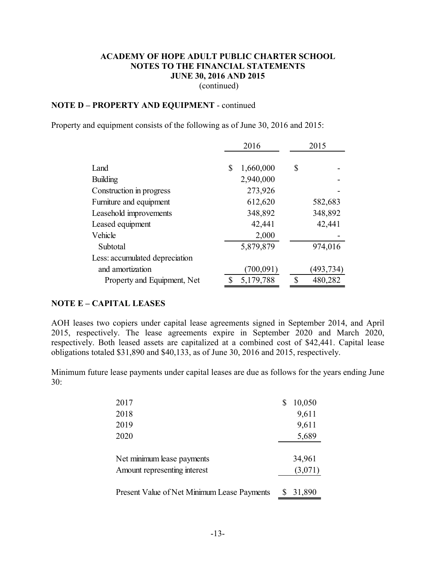## **NOTE D – PROPERTY AND EQUIPMENT** - continued

Property and equipment consists of the following as of June 30, 2016 and 2015:

|                                | 2016            | 2015 |           |
|--------------------------------|-----------------|------|-----------|
| Land                           | 1,660,000<br>\$ | \$   |           |
| <b>Building</b>                | 2,940,000       |      |           |
| Construction in progress       | 273,926         |      |           |
| Furniture and equipment        | 612,620         |      | 582,683   |
| Leasehold improvements         | 348,892         |      | 348,892   |
| Leased equipment               | 42,441          |      | 42,441    |
| Vehicle                        | 2,000           |      |           |
| Subtotal                       | 5,879,879       |      | 974,016   |
| Less: accumulated depreciation |                 |      |           |
| and amortization               | (700, 091)      |      | (493,734) |
| Property and Equipment, Net    | 5,179,788       | \$   | 480,282   |

#### **NOTE E – CAPITAL LEASES**

AOH leases two copiers under capital lease agreements signed in September 2014, and April 2015, respectively. The lease agreements expire in September 2020 and March 2020, respectively. Both leased assets are capitalized at a combined cost of \$42,441. Capital lease obligations totaled \$31,890 and \$40,133, as of June 30, 2016 and 2015, respectively.

Minimum future lease payments under capital leases are due as follows for the years ending June 30:

| 2017                                        | 10,050  |
|---------------------------------------------|---------|
| 2018                                        | 9,611   |
| 2019                                        | 9,611   |
| 2020                                        | 5,689   |
|                                             |         |
| Net minimum lease payments                  | 34,961  |
| Amount representing interest                | (3,071) |
|                                             |         |
| Present Value of Net Minimum Lease Payments | 31,890  |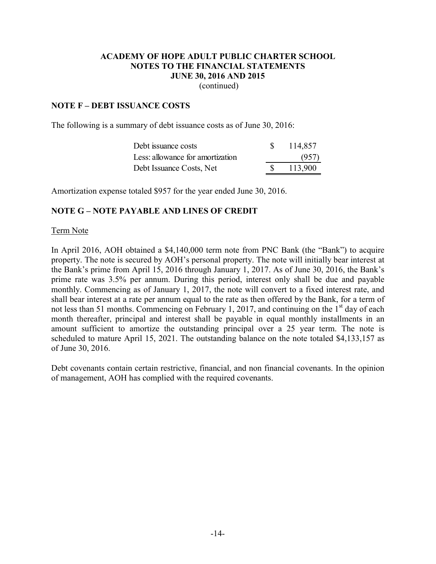(continued)

## **NOTE F – DEBT ISSUANCE COSTS**

The following is a summary of debt issuance costs as of June 30, 2016:

| Debt issuance costs              | 114,857 |
|----------------------------------|---------|
| Less: allowance for amortization | (957)   |
| Debt Issuance Costs, Net         | 113,900 |

Amortization expense totaled \$957 for the year ended June 30, 2016.

## **NOTE G – NOTE PAYABLE AND LINES OF CREDIT**

#### Term Note

In April 2016, AOH obtained a \$4,140,000 term note from PNC Bank (the "Bank") to acquire property. The note is secured by AOH's personal property. The note will initially bear interest at the Bank's prime from April 15, 2016 through January 1, 2017. As of June 30, 2016, the Bank's prime rate was 3.5% per annum. During this period, interest only shall be due and payable monthly. Commencing as of January 1, 2017, the note will convert to a fixed interest rate, and shall bear interest at a rate per annum equal to the rate as then offered by the Bank, for a term of not less than 51 months. Commencing on February 1, 2017, and continuing on the 1<sup>st</sup> day of each month thereafter, principal and interest shall be payable in equal monthly installments in an amount sufficient to amortize the outstanding principal over a 25 year term. The note is scheduled to mature April 15, 2021. The outstanding balance on the note totaled \$4,133,157 as of June 30, 2016.

Debt covenants contain certain restrictive, financial, and non financial covenants. In the opinion of management, AOH has complied with the required covenants.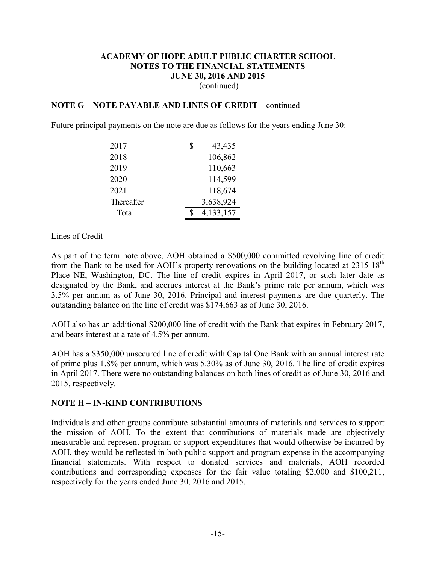## **NOTE G – NOTE PAYABLE AND LINES OF CREDIT** – continued

Future principal payments on the note are due as follows for the years ending June 30:

| 2017       | \$<br>43,435 |
|------------|--------------|
| 2018       | 106,862      |
| 2019       | 110,663      |
| 2020       | 114,599      |
| 2021       | 118,674      |
| Thereafter | 3,638,924    |
| Total      | 4,133,157    |

#### Lines of Credit

As part of the term note above, AOH obtained a \$500,000 committed revolving line of credit from the Bank to be used for AOH's property renovations on the building located at  $2315 \, 18^{th}$ Place NE, Washington, DC. The line of credit expires in April 2017, or such later date as designated by the Bank, and accrues interest at the Bank's prime rate per annum, which was 3.5% per annum as of June 30, 2016. Principal and interest payments are due quarterly. The outstanding balance on the line of credit was \$174,663 as of June 30, 2016.

AOH also has an additional \$200,000 line of credit with the Bank that expires in February 2017, and bears interest at a rate of 4.5% per annum.

AOH has a \$350,000 unsecured line of credit with Capital One Bank with an annual interest rate of prime plus 1.8% per annum, which was 5.30% as of June 30, 2016. The line of credit expires in April 2017. There were no outstanding balances on both lines of credit as of June 30, 2016 and 2015, respectively.

## **NOTE H – IN-KIND CONTRIBUTIONS**

Individuals and other groups contribute substantial amounts of materials and services to support the mission of AOH. To the extent that contributions of materials made are objectively measurable and represent program or support expenditures that would otherwise be incurred by AOH, they would be reflected in both public support and program expense in the accompanying financial statements. With respect to donated services and materials, AOH recorded contributions and corresponding expenses for the fair value totaling \$2,000 and \$100,211, respectively for the years ended June 30, 2016 and 2015.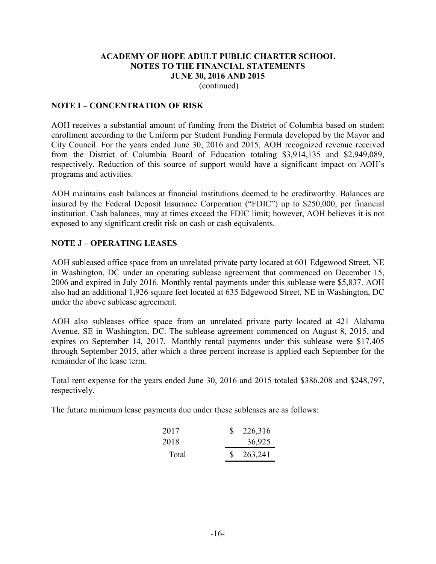#### **NOTE I – CONCENTRATION OF RISK**

AOH receives a substantial amount of funding from the District of Columbia based on student enrollment according to the Uniform per Student Funding Formula developed by the Mayor and City Council. For the years ended June 30, 2016 and 2015, AOH recognized revenue received from the District of Columbia Board of Education totaling \$3,914,135 and \$2,949,089, respectively. Reduction of this source of support would have a significant impact on AOH's programs and activities.

AOH maintains cash balances at financial institutions deemed to be creditworthy. Balances are insured by the Federal Deposit Insurance Corporation ("FDIC") up to \$250,000, per financial institution. Cash balances, may at times exceed the FDIC limit; however, AOH believes it is not exposed to any significant credit risk on cash or cash equivalents.

## **NOTE J – OPERATING LEASES**

AOH subleased office space from an unrelated private party located at 601 Edgewood Street, NE in Washington, DC under an operating sublease agreement that commenced on December 15, 2006 and expired in July 2016. Monthly rental payments under this sublease were \$5,837. AOH also had an additional 1,926 square feet located at 635 Edgewood Street, NE in Washington, DC under the above sublease agreement.

AOH also subleases office space from an unrelated private party located at 421 Alabama Avenue, SE in Washington, DC. The sublease agreement commenced on August 8, 2015, and expires on September 14, 2017. Monthly rental payments under this sublease were \$17,405 through September 2015, after which a three percent increase is applied each September for the remainder of the lease term.

Total rent expense for the years ended June 30, 2016 and 2015 totaled \$386,208 and \$248,797, respectively.

The future minimum lease payments due under these subleases are as follows:

| 2017  | 226,316 |
|-------|---------|
| 2018  | 36,925  |
| Total | 263,241 |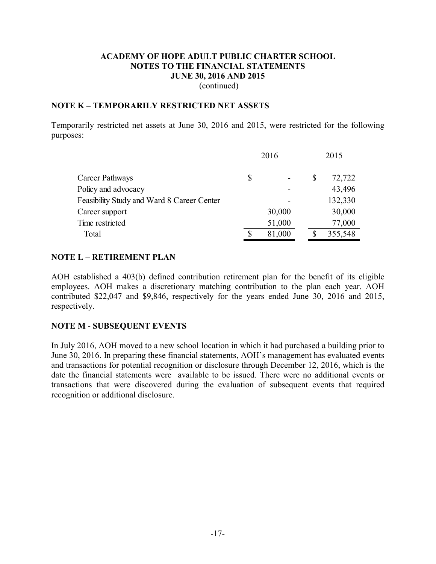#### **NOTE K – TEMPORARILY RESTRICTED NET ASSETS**

Temporarily restricted net assets at June 30, 2016 and 2015, were restricted for the following purposes:

|                                            | 2016 |        | 2015 |         |
|--------------------------------------------|------|--------|------|---------|
| Career Pathways                            | \$   |        | \$   | 72,722  |
| Policy and advocacy                        |      |        |      | 43,496  |
| Feasibility Study and Ward 8 Career Center |      |        |      | 132,330 |
| Career support                             |      | 30,000 |      | 30,000  |
| Time restricted                            |      | 51,000 |      | 77,000  |
| Total                                      |      | 81,000 |      | 355,548 |

#### **NOTE L – RETIREMENT PLAN**

AOH established a 403(b) defined contribution retirement plan for the benefit of its eligible employees. AOH makes a discretionary matching contribution to the plan each year. AOH contributed \$22,047 and \$9,846, respectively for the years ended June 30, 2016 and 2015, respectively.

## **NOTE M** - **SUBSEQUENT EVENTS**

In July 2016, AOH moved to a new school location in which it had purchased a building prior to June 30, 2016. In preparing these financial statements, AOH's management has evaluated events and transactions for potential recognition or disclosure through December 12, 2016, which is the date the financial statements were available to be issued. There were no additional events or transactions that were discovered during the evaluation of subsequent events that required recognition or additional disclosure.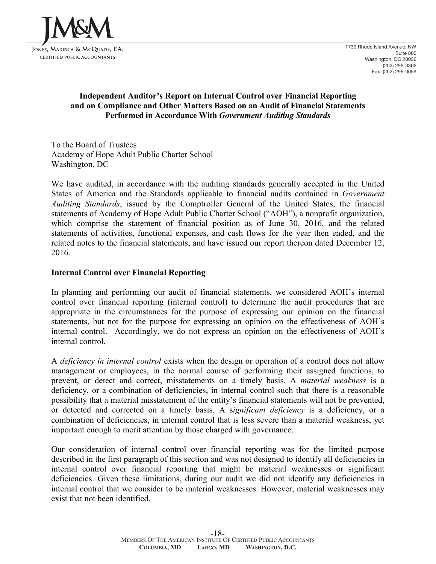

## **Independent Auditor's Report on Internal Control over Financial Reporting and on Compliance and Other Matters Based on an Audit of Financial Statements Performed in Accordance With** *Government Auditing Standards*

To the Board of Trustees Academy of Hope Adult Public Charter School Washington, DC

We have audited, in accordance with the auditing standards generally accepted in the United States of America and the Standards applicable to financial audits contained in *Government Auditing Standards*, issued by the Comptroller General of the United States, the financial statements of Academy of Hope Adult Public Charter School ("AOH"), a nonprofit organization, which comprise the statement of financial position as of June 30, 2016, and the related statements of activities, functional expenses, and cash flows for the year then ended, and the related notes to the financial statements, and have issued our report thereon dated December 12, 2016.

## **Internal Control over Financial Reporting**

In planning and performing our audit of financial statements, we considered AOH's internal control over financial reporting (internal control) to determine the audit procedures that are appropriate in the circumstances for the purpose of expressing our opinion on the financial statements, but not for the purpose for expressing an opinion on the effectiveness of AOH's internal control. Accordingly, we do not express an opinion on the effectiveness of AOH's internal control.

A *deficiency in internal control* exists when the design or operation of a control does not allow management or employees, in the normal course of performing their assigned functions, to prevent, or detect and correct, misstatements on a timely basis. A *material weakness* is a deficiency, or a combination of deficiencies, in internal control such that there is a reasonable possibility that a material misstatement of the entity's financial statements will not be prevented, or detected and corrected on a timely basis. A s*ignificant deficiency* is a deficiency, or a combination of deficiencies, in internal control that is less severe than a material weakness, yet important enough to merit attention by those charged with governance.

Our consideration of internal control over financial reporting was for the limited purpose described in the first paragraph of this section and was not designed to identify all deficiencies in internal control over financial reporting that might be material weaknesses or significant deficiencies. Given these limitations, during our audit we did not identify any deficiencies in internal control that we consider to be material weaknesses. However, material weaknesses may exist that not been identified.